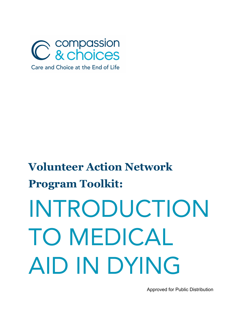

# **Volunteer Action Network Program Toolkit:** INTRODUCTION TO MEDICAL AID IN DYING

Approved for Public Distribution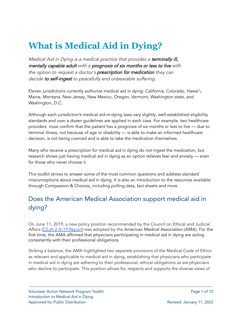## **What is Medical Aid in Dying?**

Medical Aid in Dying is a medical practice that provides a terminally ill, mentally capable adult with <sup>a</sup> prognosis of six months or less to live with the option to request a doctor's **prescription for medication** they can decide to self-ingest to peacefully end unbearable suffering.

Eleven jurisdictions currently authorize medical aid in dying: California, Colorado, Hawai'i, Maine, Montana, New Jersey, New Mexico, Oregon, Vermont, Washington state, and Washington, D.C.

Although each jurisdiction's medical aid-in-dying laws vary slightly, well-established eligibility standards and over a dozen guidelines are applied in each case. For example, two healthcare providers must confirm that the patient has a prognosis of six months or less to live — due to terminal illness, not because of age or disability — is able to make an informed healthcare decision, is not being coerced and is able to take the medication themselves.

Many who receive a prescription for medical aid in dying do not ingest the medication, but research shows just having medical aid in dying as an option relieves fear and anxiety — even for those who never choose it.

This toolkit strives to answer some of the most common questions and address standard misconceptions about medical aid in dying. It is also an introduction to the resources available through Compassion & Choices, including polling data, fact sheets and more.

#### Does the American Medical Association support medical aid in dying?

On June 11, 2019, a new policy position recommended by the Council on Ethical and Judicial Affairs (CEJA [2-A-19](http://compassionandchoices.org/wp-content/uploads/a19-ceja2.pdf) Report) was adopted by the American Medical Association (AMA). For the first time, the AMA affirmed that physicians participating in medical aid in dying are acting consistently with their professional obligations.

Striking a balance, the AMA highlighted two separate provisions of the Medical Code of Ethics as relevant and applicable to medical aid in dying, establishing that physicians who participate in medical aid in dying are adhering to their professional, ethical obligations as are physicians who decline to participate. This position allows for, respects and supports the diverse views of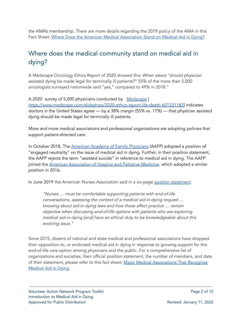the AMA's membership. There are more details regarding the 2019 policy of the AMA in this Fact Sheet: Where Does the American Medical [Association](https://docs.google.com/document/d/1YKQJ3d9rW4XvhfSN117bCAIWphTe723kKyelQ7TN9ZE/edit) Stand on Medical Aid in Dying?

#### Where does the medical community stand on medical aid in dying?

A Medscape Oncology Ethics Report of 2020 showed this: When asked "should physician assisted dying be made legal for terminally ill patients?" 55% of the more than 5,000 oncologists surveyed nationwide said "yes," compared to 49% in 2018."

A 2020 survey of 5,000 physicians conducted by [Medscape](https://www.medscape.com/slideshow/2020-ethics-report-life-death-6013311#2) [ [https://www.medscape.com/slideshow/2020-ethics-report-life-death-6013311#2\]](https://www.medscape.com/slideshow/2020-ethics-report-life-death-6013311#2) indicates doctors in the United States agree — by a 38% margin (55% vs. 17%) — that physician assisted dying should be made legal for terminally ill patients.

More and more medical associations and professional organizations are adopting policies that support patient-directed care.

In October 2018, The American Academy of Family [Physicians](https://compassionandchoices.org/?s=american+academy+of+family+physicians) (AAFP) adopted a position of "engaged neutrality" on the issue of medical aid in dying. Further, in their position statement, the AAFP rejects the term "assisted suicide" in reference to medical aid in dying. The AAFP joined the **American [Association](http://aahpm.org/positions/pad) of Hospice and Palliative Medicine**, which adopted a similar position in 2016.

In June 2019 the American Nurses Association said in a six-page position [statement](https://www.nursingworld.org/medical-aid-in-dying):

"Nurses … must be comfortable supporting patients with end-of-life conversations, assessing the context of <sup>a</sup> medical aid-in-dying request … knowing about aid-in-dying laws and how those affect practice … remain objective when discussing end-of-life options with patients who are exploring medical aid-in-dying [and] have an ethical duty to be knowledgeable about this evolving issue."

Since 2015, dozens of national and state medical and professional associations have dropped their opposition to, or endorsed medical aid in dying in response to growing support for this end-of-life care option among physicians and the public. For a comprehensive list of organizations and societies, their official position statement, the number of members, and date of their statement, please refer to this fact sheet: Major Medical [Associations](https://compassionandchoices.org/resource/medical-associations-medical-aid-dying/) That Recognize [Medical](https://compassionandchoices.org/resource/medical-associations-medical-aid-dying/) Aid in Dying.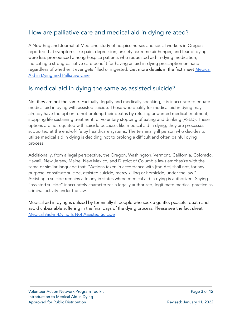#### How are palliative care and medical aid in dying related?

A New England Journal of Medicine study of hospice nurses and social workers in Oregon reported that symptoms like pain, depression, anxiety, extreme air hunger, and fear of dying were less pronounced among hospice patients who requested aid-in-dying medication, indicating a strong palliative care benefit for having an aid-in-dying prescription on hand regardless of whether it ever gets filled or ingested. Get more details in the fact sheet [Medical](https://compassionandchoices.org/resource/medical-aid-dying-palliative-care/) Aid in Dying and [Palliative](https://compassionandchoices.org/resource/medical-aid-dying-palliative-care/) Care

#### Is medical aid in dying the same as assisted suicide?

No, they are not the same. Factually, legally and medically speaking, it is inaccurate to equate medical aid in dying with assisted suicide. Those who qualify for medical aid in dying may already have the option to not prolong their deaths by refusing unwanted medical treatment, stopping life sustaining treatment, or voluntary stopping of eating and drinking (VSED). These options are not equated with suicide because, like medical aid in dying, they are processes supported at the end-of-life by healthcare systems. The terminally ill person who decides to utilize medical aid in dying is deciding not to prolong a difficult and often painful dying process.

Additionally, from a legal perspective, the Oregon, Washington, Vermont, California, Colorado, Hawaii, New Jersey, Maine, New Mexico, and District of Columbia laws emphasize with the same or similar language that: "Actions taken in accordance with [the Act] shall not, for any purpose, constitute suicide, assisted suicide, mercy killing or homicide, under the law." Assisting a suicide remains a felony in states where medical aid in dying is authorized. Saying "assisted suicide" inaccurately characterizes a legally authorized, legitimate medical practice as criminal activity under the law.

Medical aid in dying is utilized by terminally ill people who seek a gentle, peaceful death and avoid unbearable suffering in the final days of the dying process. Please see the fact sheet Medical [Aid-in-Dying](https://compassionandchoices.org/resource/assisted-suicide/) Is Not Assisted Suicide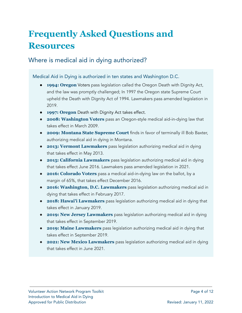## **Frequently Asked Questions and Resources**

Where is medical aid in dying authorized?

Medical Aid in Dying is authorized in ten states and Washington D.C.

- **1994: Oregon** Voters pass legislation called the Oregon Death with Dignity Act, and the law was promptly challenged; In 1997 the Oregon state Supreme Court upheld the Death with Dignity Act of 1994. Lawmakers pass amended legislation in 2019.
- **1997: Oregon** Death with Dignity Act takes effect.
- **2008: Washington Voters** pass an Oregon-style medical aid-in-dying law that takes effect in March 2009.
- **2009: Montana State Supreme Court** finds in favor of terminally ill Bob Baxter, authorizing medical aid in dying in Montana.
- **2013: Vermont Lawmakers** pass legislation authorizing medical aid in dying that takes effect in May 2013.
- **2015: California Lawmakers** pass legislation authorizing medical aid in dying that takes effect June 2016. Lawmakers pass amended legislation in 2021.
- **2016: Colorado Voters** pass a medical aid-in-dying law on the ballot, by a margin of 65%, that takes effect December 2016.
- **2016: Washington, D.C. Lawmakers** pass legislation authorizing medical aid in dying that takes effect in February 2017.
- **2018: Hawai'i Lawmakers** pass legislation authorizing medical aid in dying that takes effect in January 2019.
- **2019: New Jersey Lawmakers** pass legislation authorizing medical aid in dying that takes effect in September 2019.
- **2019: Maine Lawmakers** pass legislation authorizing medical aid in dying that takes effect in September 2019.
- **2021: New Mexico Lawmakers** pass legislation authorizing medical aid in dying that takes effect in June 2021.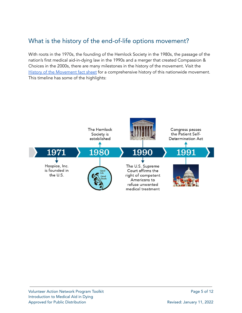#### What is the history of the end-of-life options movement?

With roots in the 1970s, the founding of the Hemlock Society in the 1980s, the passage of the nation's first medical aid-in-dying law in the 1990s and a merger that created Compassion & Choices in the 2000s, there are many milestones in the history of the movement. Visit the History of the [Movement](https://compassionandchoices.org/resource/history-end-life-choice-movement/) fact sheet for a comprehensive history of this nationwide movement. This timeline has some of the highlights:

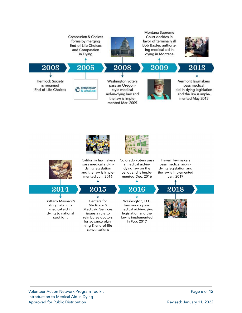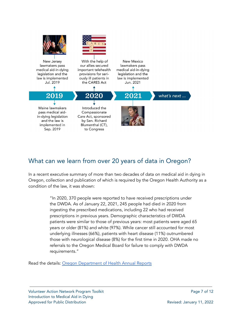

#### What can we learn from over 20 years of data in Oregon?

In a recent executive summary of more than two decades of data on medical aid in dying in Oregon, collection and publication of which is required by the Oregon Health Authority as a condition of the law, it was shown:

> "In 2020, 370 people were reported to have received prescriptions under the DWDA. As of January 22, 2021, 245 people had died in 2020 from ingesting the prescribed medications, including 22 who had received prescriptions in previous years. Demographic characteristics of DWDA patients were similar to those of previous years: most patients were aged 65 years or older (81%) and white (97%). While cancer still accounted for most underlying illnesses (66%), patients with heart disease (11%) outnumbered those with neurological disease (8%) for the first time in 2020. OHA made no referrals to the Oregon Medical Board for failure to comply with DWDA requirements."

Read the details: Oregon [Department](https://www.oregon.gov/oha/PH/PROVIDERPARTNERRESOURCES/EVALUATIONRESEARCH/DEATHWITHDIGNITYACT/Pages/ar-index.aspx) of Health Annual Reports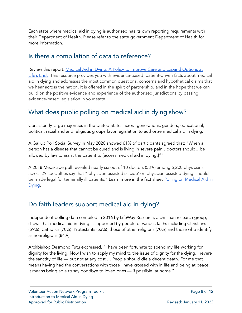Each state where medical aid in dying is authorized has its own reporting requirements with their Department of Health. Please refer to the state government Department of Health for more information.

#### Is there a compilation of data to reference?

Review this report: Medical Aid in Dying: A Policy to [Improve](https://compassionandchoices.org/resource/medical-aid-in-dying-data-book/) Care and Expand Options at [Life's](https://compassionandchoices.org/resource/medical-aid-in-dying-data-book/) End. This resource provides you with evidence-based, patient-driven facts about medical aid in dying and addresses the most common questions, concerns and hypothetical claims that we hear across the nation. It is offered in the spirit of partnership, and in the hope that we can build on the positive evidence and experience of the authorized jurisdictions by passing evidence-based legislation in your state.

#### What does public polling on medical aid in dying show?

Consistently large majorities in the United States across generations, genders, educational, political, racial and and religious groups favor legislation to authorize medical aid in dying.

A Gallup Poll Social Survey in May 2020 showed 61% of participants agreed that: "When a person has a disease that cannot be cured and is living in severe pain…doctors should…be allowed by law to assist the patient to [access medical aid in dying.]""

A 2018 Medscape poll revealed nearly six out of 10 doctors (58%) among 5,200 physicians across 29 specialties say that "'physician-assisted suicide' or 'physician-assisted dying' should be made legal for terminally ill patients." Learn more in the fact sheet Polling on [Medical](https://compassionandchoices.org/resource/polling-medical-aid-dying/) Aid in [Dying.](https://compassionandchoices.org/resource/polling-medical-aid-dying/)

#### Do faith leaders support medical aid in dying?

Independent polling data compiled in 2016 by LifeWay Research, a christian research group, shows that medical aid in dying is supported by people of various faiths including Christians (59%), Catholics (70%), Protestants (53%), those of other religions (70%) and those who identify as nonreligious (84%).

Archbishop Desmond Tutu expressed, "I have been fortunate to spend my life working for dignity for the living. Now I wish to apply my mind to the issue of dignity for the dying. I revere the sanctity of life — but not at any cost … People should die a decent death. For me that means having had the conversations with those I have crossed with in life and being at peace. It means being able to say goodbye to loved ones — if possible, at home."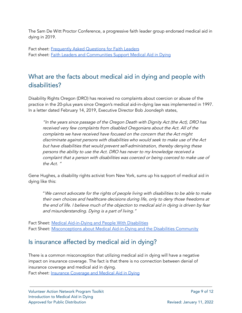The Sam De Witt Proctor Conference, a progressive faith leader group endorsed medical aid in dying in 2019.

Fact sheet: [Frequently](https://compassionandchoices.org/resource/frequently-asked-questions-faith-leaders/) Asked Questions for Faith Leaders Fact sheet: Faith Leaders and [Communities](https://compassionandchoices.org/wp-content/uploads/2018/07/FS-Faith-Support-Medical-Aid-in-Dying-FINAL-11-30-17.pdf) Support Medical Aid in Dying

#### What are the facts about medical aid in dying and people with disabilities?

Disability Rights Oregon (DRO) has received no complaints about coercion or abuse of the practice in the 20-plus years since Oregon's medical aid-in-dying law was implemented in 1997. In a letter dated February 14, 2019, Executive Director Bob Joondeph states,

"In the years since passage of the Oregon Death with Dignity Act (the Act), DRO has received very few complaints from disabled Oregonians about the Act. All of the complaints we have received have focused on the concern that the Act might discriminate against persons with disabilities who would seek to make use of the Act but have disabilities that would prevent self-administration, thereby denying these persons the ability to use the Act. DRO has never to my knowledge received <sup>a</sup> complaint that <sup>a</sup> person with disabilities was coerced or being coerced to make use of the Act. "

Gene Hughes, a disability rights activist from New York, sums up his support of medical aid in dying like this:

"We cannot advocate for the rights of people living with disabilities to be able to make their own choices and healthcare decisions during life, only to deny those freedoms at the end of life. I believe much of the objection to medical aid in dying is driven by fear and misunderstanding. Dying is <sup>a</sup> part of living."

Fact Sheet: Medical [Aid-in-Dying](https://compassionandchoices.org/resource/medical-aid-dying-people-disabilities/) and People With Disabilities Fact Sheet: [Misconceptions](https://compassionandchoices.org/take-action/community-outreach/disability-community/misconceptions-about-medical-aid-in-dying-and-the-disabilities-community/) about Medical Aid-in-Dying and the Disabilities Community

#### Is insurance affected by medical aid in dying?

There is a common misconception that utilizing medical aid in dying will have a negative impact on insurance coverage. The fact is that there is no connection between denial of insurance coverage and medical aid in dying. Fact sheet: **Insurance [Coverage](https://compassionandchoices.org/resource/insurance-coverage-medical-aid-dying/) and Medical Aid in Dying**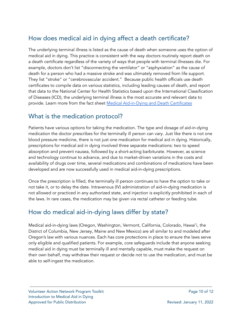#### How does medical aid in dying affect a death certificate?

The underlying terminal illness is listed as the cause of death when someone uses the option of medical aid in dying. This practice is consistent with the way doctors routinely report death on a death certificate regardless of the variety of ways that people with terminal illnesses die. For example, doctors don't list "disconnecting the ventilator" or "asphyxiation" as the cause of death for a person who had a massive stroke and was ultimately removed from life support. They list "stroke" or "cerebrovascular accident." Because public health officials use death certificates to compile data on various statistics, including leading causes of death, and report that data to the National Center for Health Statistics based upon the International Classification of Diseases (ICD), the underlying terminal illness is the most accurate and relevant data to provide. Learn more from the fact sheet Medical [Aid-in-Dying](https://docs.google.com/document/d/14VdgjKedTdpy2-R3xzBpUwz4UhaNyQoRfPZ-TZKZc5U/edit) and Death Certificates

#### What is the medication protocol?

Patients have various options for taking the medication. The type and dosage of aid-in-dying medication the doctor prescribes for the terminally ill person can vary. Just like there is not one blood pressure medicine, there is not just one medication for medical aid in dying. Historically, prescriptions for medical aid in dying involved three separate medications: two to speed absorption and prevent nausea, followed by a short-acting barbiturate. However, as science and technology continue to advance, and due to market-driven variations in the costs and availability of drugs over time, several medications and combinations of medications have been developed and are now successfully used in medical aid-in-dying prescriptions.

Once the prescription is filled, the terminally ill person continues to have the option to take or not take it, or to delay the date. Intravenous (IV) administration of aid-in-dying medication is not allowed or practiced in any authorized state, and injection is explicitly prohibited in each of the laws. In rare cases, the medication may be given via rectal catheter or feeding tube.

#### How do medical aid-in-dying laws differ by state?

Medical aid-in-dying laws (Oregon, Washington, Vermont, California, Colorado, Hawai'i, the District of Columbia, New Jersey, Maine and New Mexico) are all similar to and modeled after Oregon's law with various nuances. Each has core protections in place to ensure the laws serve only eligible and qualified patients. For example, core safeguards include that anyone seeking medical aid in dying must be terminally ill and mentally capable, must make the request on their own behalf, may withdraw their request or decide not to use the medication, and must be able to self-ingest the medication.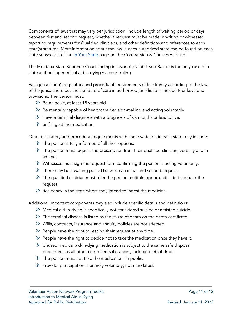Components of laws that may vary per jurisdiction include length of waiting period or days between first and second request, whether a request must be made in writing or witnessed, reporting requirements for Qualified clinicians, and other definitions and references to each state(s) statutes. More information about the law in each authorized state can be found on each state subsection of the In Your [State](https://compassionandchoices.org/in-your-state/) page on the Compassion & Choices website.

The Montana State Supreme Court finding in favor of plaintiff Bob Baxter is the only case of a state authorizing medical aid in dying via court ruling.

Each jurisdiction's regulatory and procedural requirements differ slightly according to the laws of the jurisdiction, but the standard of care in authorized jurisdictions include four keystone provisions. The person must:

- $\gg$  Be an adult, at least 18 years old.
- $\gg$  Be mentally capable of healthcare decision-making and acting voluntarily.
- $\gg$  Have a terminal diagnosis with a prognosis of six months or less to live.
- $\gg$  Self-ingest the medication.

Other regulatory and procedural requirements with some variation in each state may include:

- $\gg$  The person is fully informed of all their options.
- $\gg$  The person must request the prescription from their qualified clinician, verbally and in writing.
- $\gg$  Witnesses must sign the request form confirming the person is acting voluntarily.
- $\gg$  There may be a waiting period between an initial and second request.
- $\gg$  The qualified clinician must offer the person multiple opportunities to take back the request.
- $\gg$  Residency in the state where they intend to ingest the medicine.

Additional important components may also include specific details and definitions:

- $\gg$  Medical aid-in-dying is specifically not considered suicide or assisted suicide.
- $\gg$  The terminal disease is listed as the cause of death on the death certificate.
- $\gg$  Wills, contracts, insurance and annuity policies are not affected.
- $\gg$  People have the right to rescind their request at any time.
- $\gg$  People have the right to decide not to take the medication once they have it.
- $\gg$  Unused medical aid-in-dying medication is subject to the same safe disposal procedures as all other controlled substances, including lethal drugs.
- $\gg$  The person must not take the medications in public.
- $\gg$  Provider participation is entirely voluntary, not mandated.